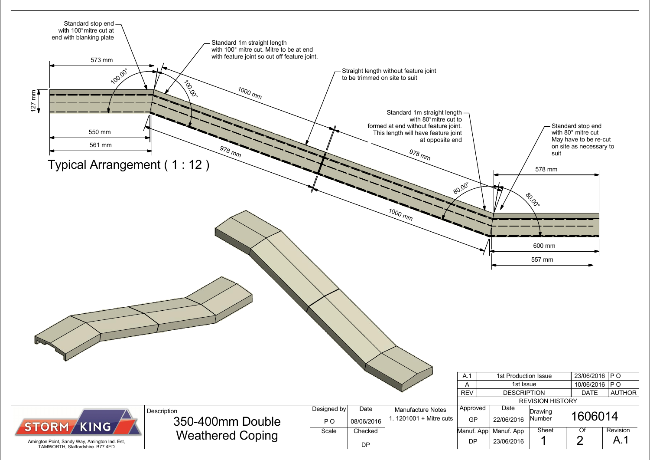